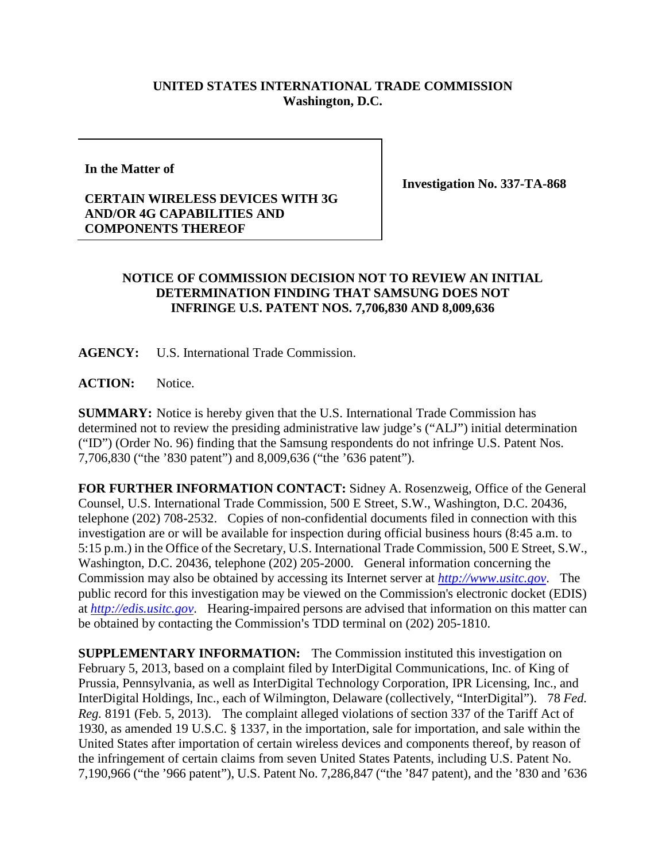## **UNITED STATES INTERNATIONAL TRADE COMMISSION Washington, D.C.**

**In the Matter of**

**Investigation No. 337-TA-868**

## **CERTAIN WIRELESS DEVICES WITH 3G AND/OR 4G CAPABILITIES AND COMPONENTS THEREOF**

## **NOTICE OF COMMISSION DECISION NOT TO REVIEW AN INITIAL DETERMINATION FINDING THAT SAMSUNG DOES NOT INFRINGE U.S. PATENT NOS. 7,706,830 AND 8,009,636**

**AGENCY:** U.S. International Trade Commission.

ACTION: Notice.

**SUMMARY:** Notice is hereby given that the U.S. International Trade Commission has determined not to review the presiding administrative law judge's ("ALJ") initial determination ("ID") (Order No. 96) finding that the Samsung respondents do not infringe U.S. Patent Nos. 7,706,830 ("the '830 patent") and 8,009,636 ("the '636 patent").

**FOR FURTHER INFORMATION CONTACT:** Sidney A. Rosenzweig, Office of the General Counsel, U.S. International Trade Commission, 500 E Street, S.W., Washington, D.C. 20436, telephone (202) 708-2532. Copies of non-confidential documents filed in connection with this investigation are or will be available for inspection during official business hours (8:45 a.m. to 5:15 p.m.) in the Office of the Secretary, U.S. International Trade Commission, 500 E Street, S.W., Washington, D.C. 20436, telephone (202) 205-2000. General information concerning the Commission may also be obtained by accessing its Internet server at *[http://www.usitc.gov](http://www.usitc.gov/)*. The public record for this investigation may be viewed on the Commission's electronic docket (EDIS) at *[http://edis.usitc.gov](http://edis.usitc.gov/)*. Hearing-impaired persons are advised that information on this matter can be obtained by contacting the Commission's TDD terminal on (202) 205-1810.

**SUPPLEMENTARY INFORMATION:** The Commission instituted this investigation on February 5, 2013, based on a complaint filed by InterDigital Communications, Inc. of King of Prussia, Pennsylvania, as well as InterDigital Technology Corporation, IPR Licensing, Inc., and InterDigital Holdings, Inc., each of Wilmington, Delaware (collectively, "InterDigital"). 78 *Fed. Reg.* 8191 (Feb. 5, 2013). The complaint alleged violations of section 337 of the Tariff Act of 1930, as amended 19 U.S.C. § 1337, in the importation, sale for importation, and sale within the United States after importation of certain wireless devices and components thereof, by reason of the infringement of certain claims from seven United States Patents, including U.S. Patent No. 7,190,966 ("the '966 patent"), U.S. Patent No. 7,286,847 ("the '847 patent), and the '830 and '636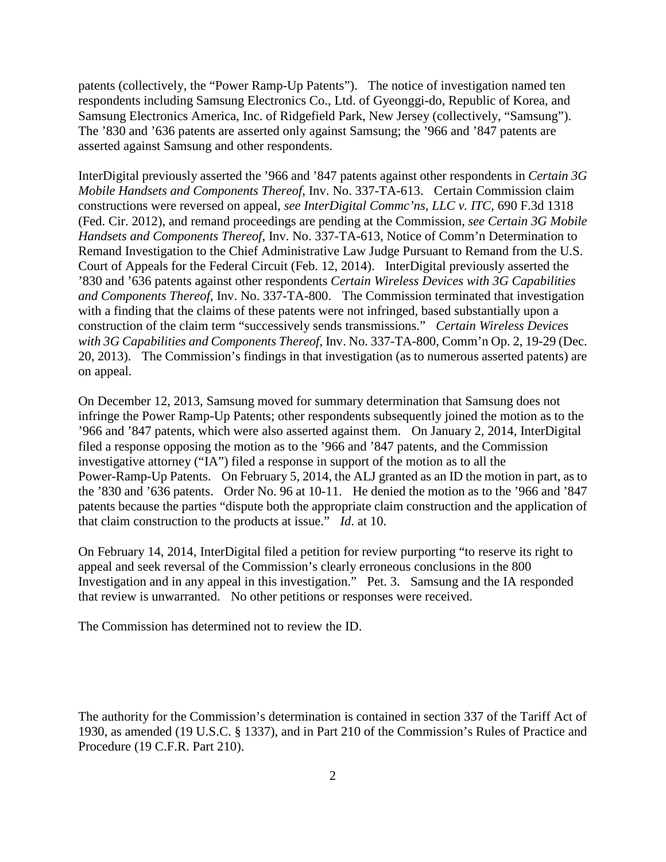patents (collectively, the "Power Ramp-Up Patents"). The notice of investigation named ten respondents including Samsung Electronics Co., Ltd. of Gyeonggi-do, Republic of Korea, and Samsung Electronics America, Inc. of Ridgefield Park, New Jersey (collectively, "Samsung"). The '830 and '636 patents are asserted only against Samsung; the '966 and '847 patents are asserted against Samsung and other respondents.

InterDigital previously asserted the '966 and '847 patents against other respondents in *Certain 3G Mobile Handsets and Components Thereof*, Inv. No. 337-TA-613. Certain Commission claim constructions were reversed on appeal, *see InterDigital Commc'ns, LLC v. ITC*, 690 F.3d 1318 (Fed. Cir. 2012), and remand proceedings are pending at the Commission, *see Certain 3G Mobile Handsets and Components Thereof*, Inv. No. 337-TA-613, Notice of Comm'n Determination to Remand Investigation to the Chief Administrative Law Judge Pursuant to Remand from the U.S. Court of Appeals for the Federal Circuit (Feb. 12, 2014). InterDigital previously asserted the '830 and '636 patents against other respondents *Certain Wireless Devices with 3G Capabilities and Components Thereof*, Inv. No. 337-TA-800. The Commission terminated that investigation with a finding that the claims of these patents were not infringed, based substantially upon a construction of the claim term "successively sends transmissions." *Certain Wireless Devices with 3G Capabilities and Components Thereof*, Inv. No. 337-TA-800, Comm'n Op. 2, 19-29 (Dec. 20, 2013). The Commission's findings in that investigation (as to numerous asserted patents) are on appeal.

On December 12, 2013, Samsung moved for summary determination that Samsung does not infringe the Power Ramp-Up Patents; other respondents subsequently joined the motion as to the '966 and '847 patents, which were also asserted against them. On January 2, 2014, InterDigital filed a response opposing the motion as to the '966 and '847 patents, and the Commission investigative attorney ("IA") filed a response in support of the motion as to all the Power-Ramp-Up Patents. On February 5, 2014, the ALJ granted as an ID the motion in part, as to the '830 and '636 patents. Order No. 96 at 10-11. He denied the motion as to the '966 and '847 patents because the parties "dispute both the appropriate claim construction and the application of that claim construction to the products at issue." *Id*. at 10.

On February 14, 2014, InterDigital filed a petition for review purporting "to reserve its right to appeal and seek reversal of the Commission's clearly erroneous conclusions in the 800 Investigation and in any appeal in this investigation." Pet. 3. Samsung and the IA responded that review is unwarranted. No other petitions or responses were received.

The Commission has determined not to review the ID.

The authority for the Commission's determination is contained in section 337 of the Tariff Act of 1930, as amended (19 U.S.C. § 1337), and in Part 210 of the Commission's Rules of Practice and Procedure (19 C.F.R. Part 210).